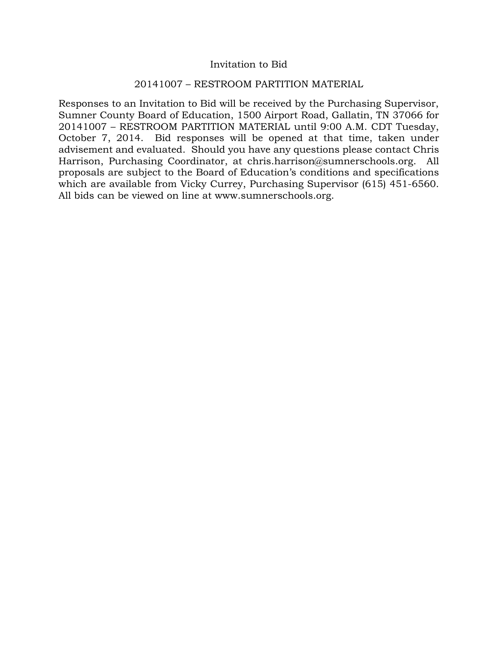#### Invitation to Bid

#### 20141007 – RESTROOM PARTITION MATERIAL

Responses to an Invitation to Bid will be received by the Purchasing Supervisor, Sumner County Board of Education, 1500 Airport Road, Gallatin, TN 37066 for 20141007 – RESTROOM PARTITION MATERIAL until 9:00 A.M. CDT Tuesday, October 7, 2014. Bid responses will be opened at that time, taken under advisement and evaluated. Should you have any questions please contact Chris Harrison, Purchasing Coordinator, at chris.harrison@sumnerschools.org. All proposals are subject to the Board of Education's conditions and specifications which are available from Vicky Currey, Purchasing Supervisor (615) 451-6560. All bids can be viewed on line at www.sumnerschools.org.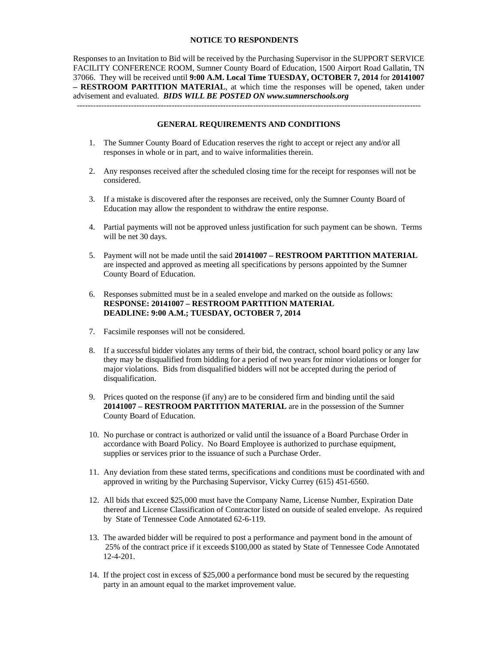#### **NOTICE TO RESPONDENTS**

Responses to an Invitation to Bid will be received by the Purchasing Supervisor in the SUPPORT SERVICE FACILITY CONFERENCE ROOM, Sumner County Board of Education, 1500 Airport Road Gallatin, TN 37066. They will be received until **9:00 A.M. Local Time TUESDAY, OCTOBER 7, 2014** for **20141007 – RESTROOM PARTITION MATERIAL**, at which time the responses will be opened, taken under advisement and evaluated. *BIDS WILL BE POSTED ON www.sumnerschools.org* 

#### **GENERAL REQUIREMENTS AND CONDITIONS**

-------------------------------------------------------------------------------------------------------------------------------

- 1. The Sumner County Board of Education reserves the right to accept or reject any and/or all responses in whole or in part, and to waive informalities therein.
- 2. Any responses received after the scheduled closing time for the receipt for responses will not be considered.
- 3. If a mistake is discovered after the responses are received, only the Sumner County Board of Education may allow the respondent to withdraw the entire response.
- 4. Partial payments will not be approved unless justification for such payment can be shown. Terms will be net 30 days.
- 5. Payment will not be made until the said **20141007 RESTROOM PARTITION MATERIAL** are inspected and approved as meeting all specifications by persons appointed by the Sumner County Board of Education.
- 6. Responses submitted must be in a sealed envelope and marked on the outside as follows: **RESPONSE: 20141007 – RESTROOM PARTITION MATERIAL DEADLINE: 9:00 A.M.; TUESDAY, OCTOBER 7, 2014**
- 7. Facsimile responses will not be considered.
- 8. If a successful bidder violates any terms of their bid, the contract, school board policy or any law they may be disqualified from bidding for a period of two years for minor violations or longer for major violations. Bids from disqualified bidders will not be accepted during the period of disqualification.
- 9. Prices quoted on the response (if any) are to be considered firm and binding until the said **20141007 – RESTROOM PARTITION MATERIAL** are in the possession of the Sumner County Board of Education.
- 10. No purchase or contract is authorized or valid until the issuance of a Board Purchase Order in accordance with Board Policy. No Board Employee is authorized to purchase equipment, supplies or services prior to the issuance of such a Purchase Order.
- 11. Any deviation from these stated terms, specifications and conditions must be coordinated with and approved in writing by the Purchasing Supervisor, Vicky Currey (615) 451-6560.
- 12. All bids that exceed \$25,000 must have the Company Name, License Number, Expiration Date thereof and License Classification of Contractor listed on outside of sealed envelope. As required by State of Tennessee Code Annotated 62-6-119.
- 13. The awarded bidder will be required to post a performance and payment bond in the amount of 25% of the contract price if it exceeds \$100,000 as stated by State of Tennessee Code Annotated 12-4-201.
- 14. If the project cost in excess of \$25,000 a performance bond must be secured by the requesting party in an amount equal to the market improvement value.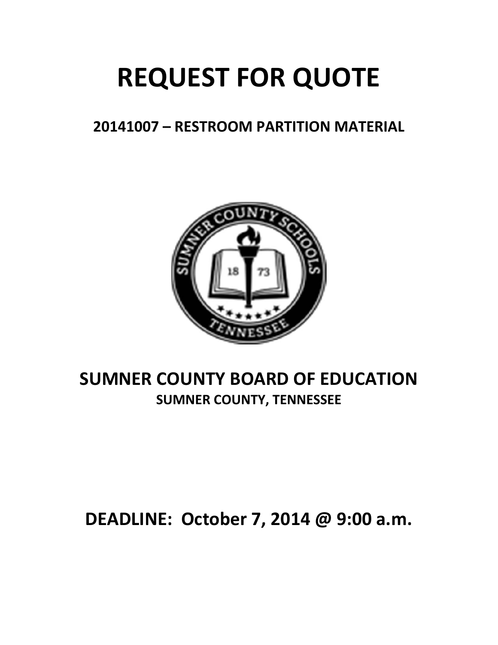# **REQUEST FOR QUOTE**

# **20141007 – RESTROOM PARTITION MATERIAL**



# **SUMNER COUNTY BOARD OF EDUCATION SUMNER COUNTY, TENNESSEE**

# **DEADLINE: October 7, 2014 @ 9:00 a.m.**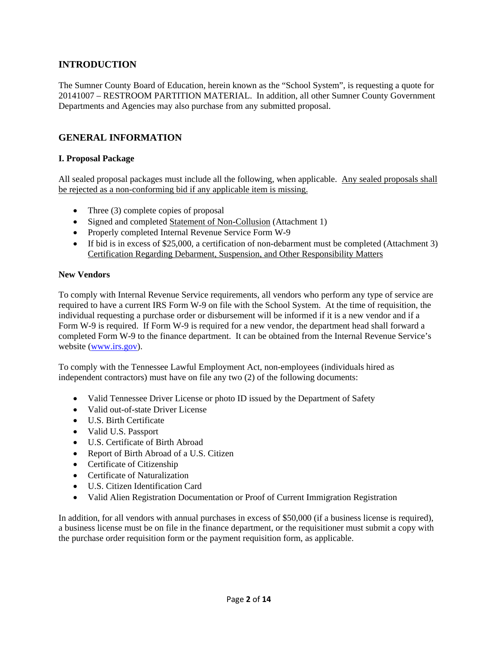# **INTRODUCTION**

The Sumner County Board of Education, herein known as the "School System", is requesting a quote for 20141007 – RESTROOM PARTITION MATERIAL. In addition, all other Sumner County Government Departments and Agencies may also purchase from any submitted proposal.

# **GENERAL INFORMATION**

#### **I. Proposal Package**

All sealed proposal packages must include all the following, when applicable. Any sealed proposals shall be rejected as a non-conforming bid if any applicable item is missing.

- Three (3) complete copies of proposal
- Signed and completed Statement of Non-Collusion (Attachment 1)
- Properly completed Internal Revenue Service Form W-9
- If bid is in excess of \$25,000, a certification of non-debarment must be completed (Attachment 3) Certification Regarding Debarment, Suspension, and Other Responsibility Matters

#### **New Vendors**

To comply with Internal Revenue Service requirements, all vendors who perform any type of service are required to have a current IRS Form W-9 on file with the School System. At the time of requisition, the individual requesting a purchase order or disbursement will be informed if it is a new vendor and if a Form W-9 is required. If Form W-9 is required for a new vendor, the department head shall forward a completed Form W-9 to the finance department. It can be obtained from the Internal Revenue Service's website (www.irs.gov).

To comply with the Tennessee Lawful Employment Act, non-employees (individuals hired as independent contractors) must have on file any two (2) of the following documents:

- Valid Tennessee Driver License or photo ID issued by the Department of Safety
- Valid out-of-state Driver License
- U.S. Birth Certificate
- Valid U.S. Passport
- U.S. Certificate of Birth Abroad
- Report of Birth Abroad of a U.S. Citizen
- Certificate of Citizenship
- Certificate of Naturalization
- U.S. Citizen Identification Card
- Valid Alien Registration Documentation or Proof of Current Immigration Registration

In addition, for all vendors with annual purchases in excess of \$50,000 (if a business license is required), a business license must be on file in the finance department, or the requisitioner must submit a copy with the purchase order requisition form or the payment requisition form, as applicable.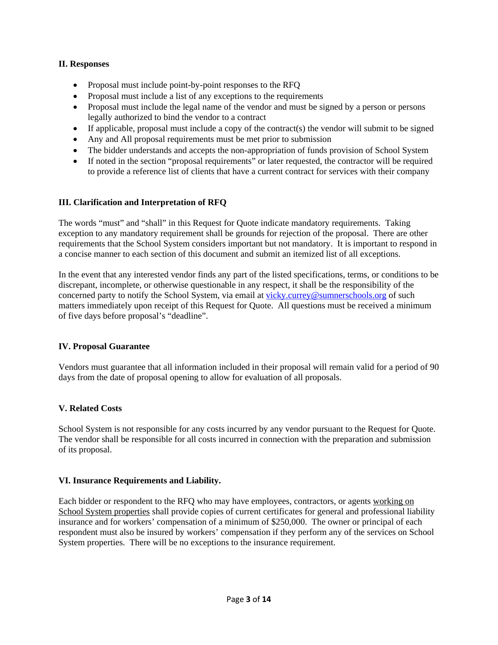#### **II. Responses**

- Proposal must include point-by-point responses to the RFQ
- Proposal must include a list of any exceptions to the requirements
- Proposal must include the legal name of the vendor and must be signed by a person or persons legally authorized to bind the vendor to a contract
- $\bullet$  If applicable, proposal must include a copy of the contract(s) the vendor will submit to be signed
- Any and All proposal requirements must be met prior to submission
- The bidder understands and accepts the non-appropriation of funds provision of School System
- If noted in the section "proposal requirements" or later requested, the contractor will be required to provide a reference list of clients that have a current contract for services with their company

## **III. Clarification and Interpretation of RFQ**

The words "must" and "shall" in this Request for Quote indicate mandatory requirements. Taking exception to any mandatory requirement shall be grounds for rejection of the proposal. There are other requirements that the School System considers important but not mandatory. It is important to respond in a concise manner to each section of this document and submit an itemized list of all exceptions.

In the event that any interested vendor finds any part of the listed specifications, terms, or conditions to be discrepant, incomplete, or otherwise questionable in any respect, it shall be the responsibility of the concerned party to notify the School System, via email at vicky.currey@sumnerschools.org of such matters immediately upon receipt of this Request for Quote. All questions must be received a minimum of five days before proposal's "deadline".

#### **IV. Proposal Guarantee**

Vendors must guarantee that all information included in their proposal will remain valid for a period of 90 days from the date of proposal opening to allow for evaluation of all proposals.

#### **V. Related Costs**

School System is not responsible for any costs incurred by any vendor pursuant to the Request for Quote. The vendor shall be responsible for all costs incurred in connection with the preparation and submission of its proposal.

#### **VI. Insurance Requirements and Liability.**

Each bidder or respondent to the RFQ who may have employees, contractors, or agents working on School System properties shall provide copies of current certificates for general and professional liability insurance and for workers' compensation of a minimum of \$250,000. The owner or principal of each respondent must also be insured by workers' compensation if they perform any of the services on School System properties. There will be no exceptions to the insurance requirement.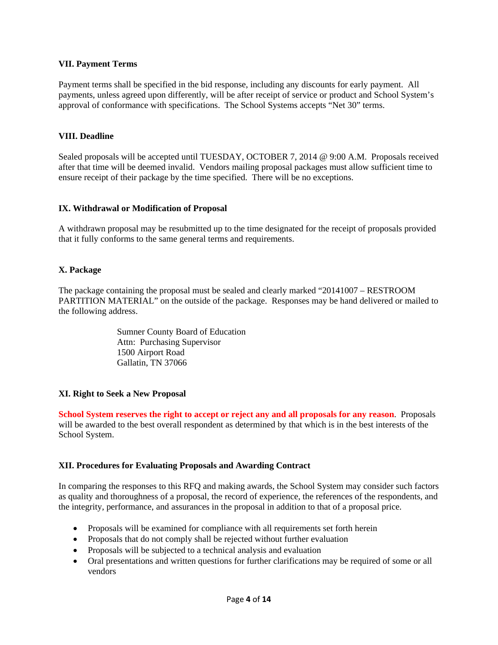#### **VII. Payment Terms**

Payment terms shall be specified in the bid response, including any discounts for early payment. All payments, unless agreed upon differently, will be after receipt of service or product and School System's approval of conformance with specifications. The School Systems accepts "Net 30" terms.

#### **VIII. Deadline**

Sealed proposals will be accepted until TUESDAY, OCTOBER 7, 2014 @ 9:00 A.M. Proposals received after that time will be deemed invalid. Vendors mailing proposal packages must allow sufficient time to ensure receipt of their package by the time specified. There will be no exceptions.

#### **IX. Withdrawal or Modification of Proposal**

A withdrawn proposal may be resubmitted up to the time designated for the receipt of proposals provided that it fully conforms to the same general terms and requirements.

#### **X. Package**

The package containing the proposal must be sealed and clearly marked "20141007 – RESTROOM PARTITION MATERIAL" on the outside of the package. Responses may be hand delivered or mailed to the following address.

> Sumner County Board of Education Attn: Purchasing Supervisor 1500 Airport Road Gallatin, TN 37066

#### **XI. Right to Seek a New Proposal**

**School System reserves the right to accept or reject any and all proposals for any reason**. Proposals will be awarded to the best overall respondent as determined by that which is in the best interests of the School System.

#### **XII. Procedures for Evaluating Proposals and Awarding Contract**

In comparing the responses to this RFQ and making awards, the School System may consider such factors as quality and thoroughness of a proposal, the record of experience, the references of the respondents, and the integrity, performance, and assurances in the proposal in addition to that of a proposal price.

- Proposals will be examined for compliance with all requirements set forth herein
- Proposals that do not comply shall be rejected without further evaluation
- Proposals will be subjected to a technical analysis and evaluation
- Oral presentations and written questions for further clarifications may be required of some or all vendors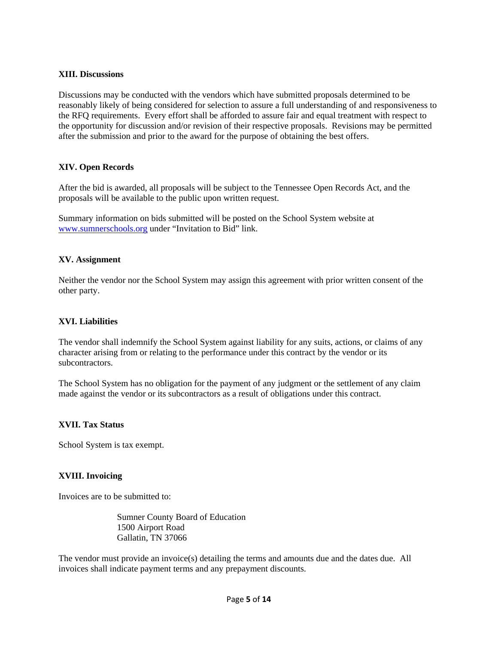#### **XIII. Discussions**

Discussions may be conducted with the vendors which have submitted proposals determined to be reasonably likely of being considered for selection to assure a full understanding of and responsiveness to the RFQ requirements. Every effort shall be afforded to assure fair and equal treatment with respect to the opportunity for discussion and/or revision of their respective proposals. Revisions may be permitted after the submission and prior to the award for the purpose of obtaining the best offers.

#### **XIV. Open Records**

After the bid is awarded, all proposals will be subject to the Tennessee Open Records Act, and the proposals will be available to the public upon written request.

Summary information on bids submitted will be posted on the School System website at www.sumnerschools.org under "Invitation to Bid" link.

#### **XV. Assignment**

Neither the vendor nor the School System may assign this agreement with prior written consent of the other party.

#### **XVI. Liabilities**

The vendor shall indemnify the School System against liability for any suits, actions, or claims of any character arising from or relating to the performance under this contract by the vendor or its subcontractors.

The School System has no obligation for the payment of any judgment or the settlement of any claim made against the vendor or its subcontractors as a result of obligations under this contract.

#### **XVII. Tax Status**

School System is tax exempt.

#### **XVIII. Invoicing**

Invoices are to be submitted to:

 Sumner County Board of Education 1500 Airport Road Gallatin, TN 37066

The vendor must provide an invoice(s) detailing the terms and amounts due and the dates due. All invoices shall indicate payment terms and any prepayment discounts.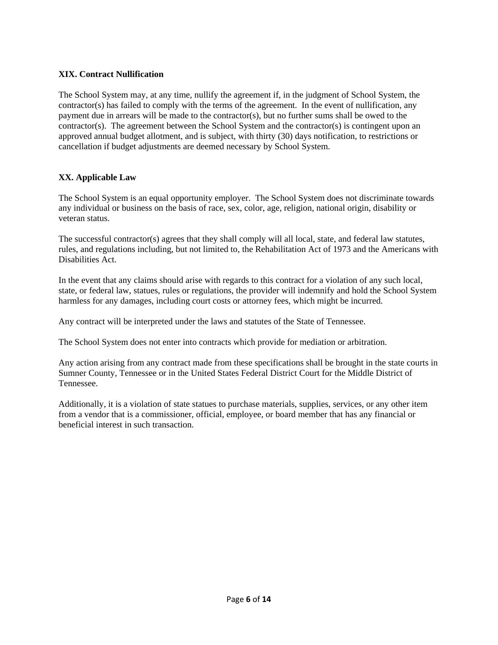## **XIX. Contract Nullification**

The School System may, at any time, nullify the agreement if, in the judgment of School System, the contractor(s) has failed to comply with the terms of the agreement. In the event of nullification, any payment due in arrears will be made to the contractor(s), but no further sums shall be owed to the  $contractor(s)$ . The agreement between the School System and the contractor(s) is contingent upon an approved annual budget allotment, and is subject, with thirty (30) days notification, to restrictions or cancellation if budget adjustments are deemed necessary by School System.

## **XX. Applicable Law**

The School System is an equal opportunity employer. The School System does not discriminate towards any individual or business on the basis of race, sex, color, age, religion, national origin, disability or veteran status.

The successful contractor(s) agrees that they shall comply will all local, state, and federal law statutes, rules, and regulations including, but not limited to, the Rehabilitation Act of 1973 and the Americans with Disabilities Act.

In the event that any claims should arise with regards to this contract for a violation of any such local, state, or federal law, statues, rules or regulations, the provider will indemnify and hold the School System harmless for any damages, including court costs or attorney fees, which might be incurred.

Any contract will be interpreted under the laws and statutes of the State of Tennessee.

The School System does not enter into contracts which provide for mediation or arbitration.

Any action arising from any contract made from these specifications shall be brought in the state courts in Sumner County, Tennessee or in the United States Federal District Court for the Middle District of Tennessee.

Additionally, it is a violation of state statues to purchase materials, supplies, services, or any other item from a vendor that is a commissioner, official, employee, or board member that has any financial or beneficial interest in such transaction.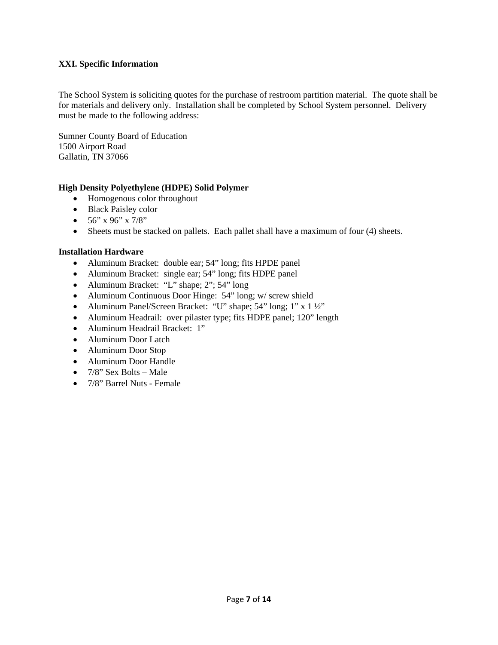#### **XXI. Specific Information**

The School System is soliciting quotes for the purchase of restroom partition material. The quote shall be for materials and delivery only. Installation shall be completed by School System personnel. Delivery must be made to the following address:

Sumner County Board of Education 1500 Airport Road Gallatin, TN 37066

#### **High Density Polyethylene (HDPE) Solid Polymer**

- Homogenous color throughout
- Black Paisley color
- $\bullet$  56" x 96" x 7/8"
- Sheets must be stacked on pallets. Each pallet shall have a maximum of four (4) sheets.

#### **Installation Hardware**

- Aluminum Bracket: double ear; 54" long; fits HPDE panel
- Aluminum Bracket: single ear; 54" long; fits HDPE panel
- Aluminum Bracket: "L" shape; 2"; 54" long
- Aluminum Continuous Door Hinge: 54" long; w/ screw shield
- Aluminum Panel/Screen Bracket: "U" shape; 54" long; 1" x 1 ½"
- Aluminum Headrail: over pilaster type; fits HDPE panel; 120" length
- Aluminum Headrail Bracket: 1"
- Aluminum Door Latch
- Aluminum Door Stop
- Aluminum Door Handle
- $\bullet$  7/8" Sex Bolts Male
- 7/8" Barrel Nuts Female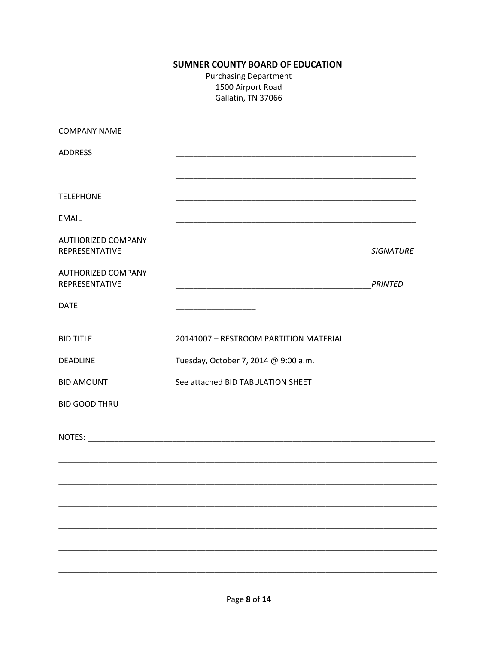# **SUMNER COUNTY BOARD OF EDUCATION**

**Purchasing Department** 1500 Airport Road Gallatin, TN 37066

| <b>COMPANY NAME</b>                         |                                                                                                                                                                                                                                      |                  |
|---------------------------------------------|--------------------------------------------------------------------------------------------------------------------------------------------------------------------------------------------------------------------------------------|------------------|
| <b>ADDRESS</b>                              | <u> 1989 - Johann Stoff, deutscher Stoff, der Stoff, der Stoff, der Stoff, der Stoff, der Stoff, der Stoff, der S</u>                                                                                                                |                  |
|                                             |                                                                                                                                                                                                                                      |                  |
| <b>TELEPHONE</b>                            |                                                                                                                                                                                                                                      |                  |
| <b>EMAIL</b>                                |                                                                                                                                                                                                                                      |                  |
| <b>AUTHORIZED COMPANY</b><br>REPRESENTATIVE | <u> 1989 - Johann John Harry, mars and de final and de final and definition of the set of the set of the set of the set of the set of the set of the set of the set of the set of the set of the set of the set of the set of th</u> | <b>SIGNATURE</b> |
| <b>AUTHORIZED COMPANY</b><br>REPRESENTATIVE | <u> 1989 - Johann John Stone, markin film yn y brening yn y brening yn y brening yn y brening yn y brening yn y b</u>                                                                                                                | <b>PRINTED</b>   |
| <b>DATE</b>                                 |                                                                                                                                                                                                                                      |                  |
| <b>BID TITLE</b>                            | 20141007 - RESTROOM PARTITION MATERIAL                                                                                                                                                                                               |                  |
| <b>DEADLINE</b>                             | Tuesday, October 7, 2014 @ 9:00 a.m.                                                                                                                                                                                                 |                  |
| <b>BID AMOUNT</b>                           | See attached BID TABULATION SHEET                                                                                                                                                                                                    |                  |
| <b>BID GOOD THRU</b>                        |                                                                                                                                                                                                                                      |                  |
|                                             |                                                                                                                                                                                                                                      |                  |
|                                             |                                                                                                                                                                                                                                      |                  |
|                                             |                                                                                                                                                                                                                                      |                  |
|                                             |                                                                                                                                                                                                                                      |                  |
|                                             |                                                                                                                                                                                                                                      |                  |
|                                             |                                                                                                                                                                                                                                      |                  |
|                                             |                                                                                                                                                                                                                                      |                  |

 $\overline{\phantom{0}}$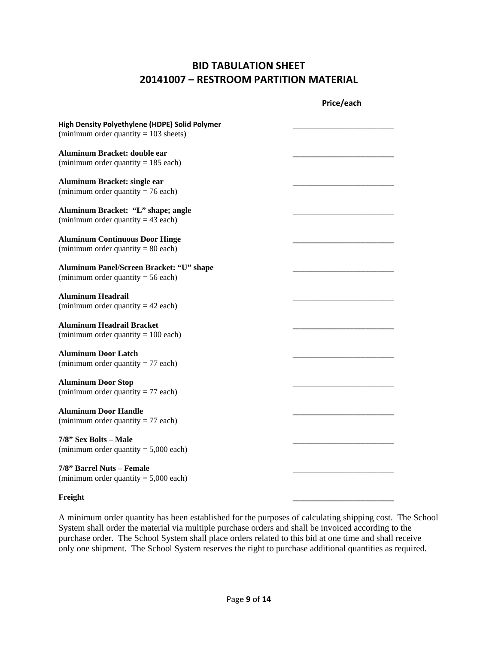# **BID TABULATION SHEET 20141007 – RESTROOM PARTITION MATERIAL**

|                                                                                           | Price/each |
|-------------------------------------------------------------------------------------------|------------|
| High Density Polyethylene (HDPE) Solid Polymer<br>(minimum order quantity $= 103$ sheets) |            |
| Aluminum Bracket: double ear<br>(minimum order quantity = $185$ each)                     |            |
| Aluminum Bracket: single ear<br>(minimum order quantity = $76$ each)                      |            |
| Aluminum Bracket: "L" shape; angle<br>(minimum order quantity = 43 each)                  |            |
| <b>Aluminum Continuous Door Hinge</b><br>(minimum order quantity = $80$ each)             |            |
| Aluminum Panel/Screen Bracket: "U" shape<br>(minimum order quantity = $56$ each)          |            |
| <b>Aluminum Headrail</b><br>(minimum order quantity $= 42$ each)                          |            |
| <b>Aluminum Headrail Bracket</b><br>(minimum order quantity $= 100$ each)                 |            |
| <b>Aluminum Door Latch</b><br>(minimum order quantity = $77$ each)                        |            |
| <b>Aluminum Door Stop</b><br>(minimum order quantity = $77$ each)                         |            |
| <b>Aluminum Door Handle</b><br>(minimum order quantity $= 77$ each)                       |            |
| 7/8" Sex Bolts - Male<br>(minimum order quantity $= 5,000$ each)                          |            |
| 7/8" Barrel Nuts - Female<br>(minimum order quantity $= 5,000$ each)                      |            |

#### **Freight** \_\_\_\_\_\_\_\_\_\_\_\_\_\_\_\_\_\_\_\_\_\_\_\_\_

A minimum order quantity has been established for the purposes of calculating shipping cost. The School System shall order the material via multiple purchase orders and shall be invoiced according to the purchase order. The School System shall place orders related to this bid at one time and shall receive only one shipment. The School System reserves the right to purchase additional quantities as required.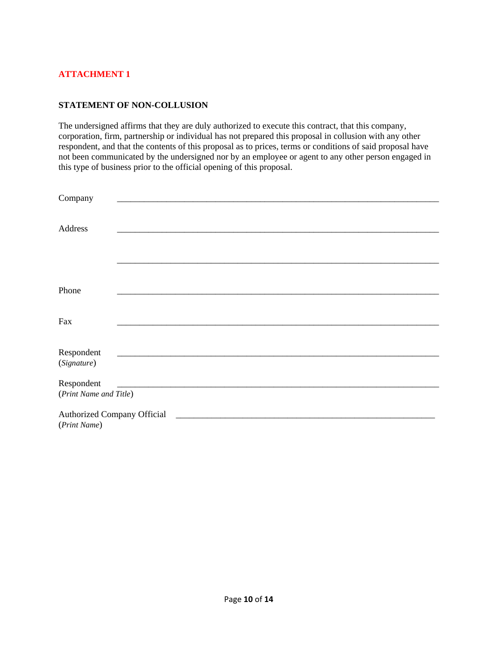#### **STATEMENT OF NON-COLLUSION**

The undersigned affirms that they are duly authorized to execute this contract, that this company, corporation, firm, partnership or individual has not prepared this proposal in collusion with any other respondent, and that the contents of this proposal as to prices, terms or conditions of said proposal have not been communicated by the undersigned nor by an employee or agent to any other person engaged in this type of business prior to the official opening of this proposal.

| Company                |  |  |  |
|------------------------|--|--|--|
|                        |  |  |  |
|                        |  |  |  |
| Address                |  |  |  |
|                        |  |  |  |
|                        |  |  |  |
|                        |  |  |  |
|                        |  |  |  |
|                        |  |  |  |
| Phone                  |  |  |  |
|                        |  |  |  |
| Fax                    |  |  |  |
|                        |  |  |  |
|                        |  |  |  |
| Respondent             |  |  |  |
| (Signature)            |  |  |  |
|                        |  |  |  |
| Respondent             |  |  |  |
| (Print Name and Title) |  |  |  |
|                        |  |  |  |
|                        |  |  |  |
| (Print Name)           |  |  |  |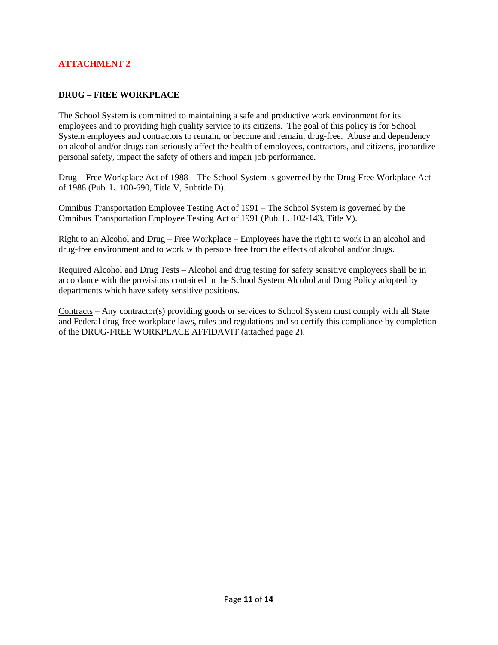#### **DRUG – FREE WORKPLACE**

The School System is committed to maintaining a safe and productive work environment for its employees and to providing high quality service to its citizens. The goal of this policy is for School System employees and contractors to remain, or become and remain, drug-free. Abuse and dependency on alcohol and/or drugs can seriously affect the health of employees, contractors, and citizens, jeopardize personal safety, impact the safety of others and impair job performance.

Drug – Free Workplace Act of 1988 – The School System is governed by the Drug-Free Workplace Act of 1988 (Pub. L. 100-690, Title V, Subtitle D).

Omnibus Transportation Employee Testing Act of 1991 – The School System is governed by the Omnibus Transportation Employee Testing Act of 1991 (Pub. L. 102-143, Title V).

Right to an Alcohol and Drug – Free Workplace – Employees have the right to work in an alcohol and drug-free environment and to work with persons free from the effects of alcohol and/or drugs.

Required Alcohol and Drug Tests – Alcohol and drug testing for safety sensitive employees shall be in accordance with the provisions contained in the School System Alcohol and Drug Policy adopted by departments which have safety sensitive positions.

Contracts – Any contractor(s) providing goods or services to School System must comply with all State and Federal drug-free workplace laws, rules and regulations and so certify this compliance by completion of the DRUG-FREE WORKPLACE AFFIDAVIT (attached page 2).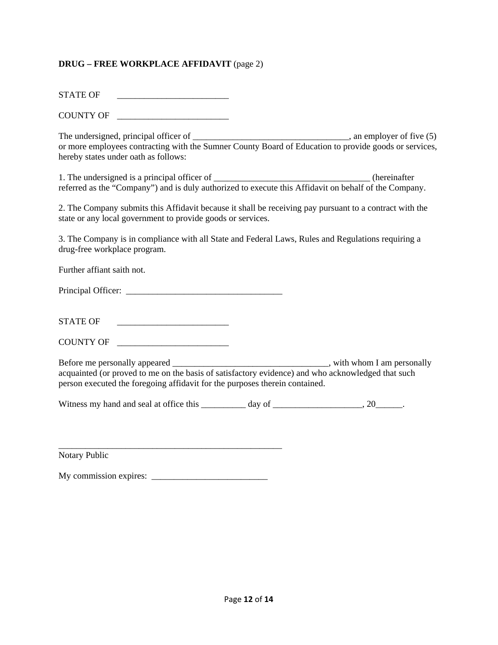#### **DRUG – FREE WORKPLACE AFFIDAVIT** (page 2)

STATE OF

COUNTY OF

The undersigned, principal officer of \_\_\_\_\_\_\_\_\_\_\_\_\_\_\_\_\_\_\_\_\_\_\_\_\_\_\_\_\_, an employer of five (5) or more employees contracting with the Sumner County Board of Education to provide goods or services, hereby states under oath as follows:

1. The undersigned is a principal officer of \_\_\_\_\_\_\_\_\_\_\_\_\_\_\_\_\_\_\_\_\_\_\_\_\_\_\_\_\_\_\_\_\_\_\_ (hereinafter referred as the "Company") and is duly authorized to execute this Affidavit on behalf of the Company.

2. The Company submits this Affidavit because it shall be receiving pay pursuant to a contract with the state or any local government to provide goods or services.

3. The Company is in compliance with all State and Federal Laws, Rules and Regulations requiring a drug-free workplace program.

Further affiant saith not.

Principal Officer: \_\_\_\_\_\_\_\_\_\_\_\_\_\_\_\_\_\_\_\_\_\_\_\_\_\_\_\_\_\_\_\_\_\_\_

STATE OF \_\_\_\_\_\_\_\_\_\_\_\_\_\_\_\_\_\_\_\_\_\_\_\_\_

COUNTY OF \_\_\_\_\_\_\_\_\_\_\_\_\_\_\_\_\_\_\_\_\_\_\_\_\_

Before me personally appeared \_\_\_\_\_\_\_\_\_\_\_\_\_\_\_\_\_\_\_\_\_\_\_\_\_\_\_\_\_\_\_\_\_\_\_, with whom I am personally acquainted (or proved to me on the basis of satisfactory evidence) and who acknowledged that such person executed the foregoing affidavit for the purposes therein contained.

Witness my hand and seal at office this \_\_\_\_\_\_\_\_ day of \_\_\_\_\_\_\_\_\_\_\_\_\_\_\_\_, 20\_\_\_\_\_.

\_\_\_\_\_\_\_\_\_\_\_\_\_\_\_\_\_\_\_\_\_\_\_\_\_\_\_\_\_\_\_\_\_\_\_\_\_\_\_\_\_\_\_\_\_\_\_\_\_\_ Notary Public

My commission expires: \_\_\_\_\_\_\_\_\_\_\_\_\_\_\_\_\_\_\_\_\_\_\_\_\_\_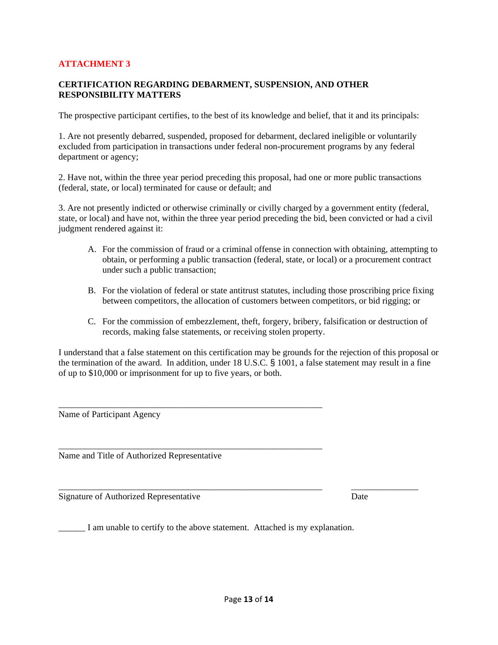#### **CERTIFICATION REGARDING DEBARMENT, SUSPENSION, AND OTHER RESPONSIBILITY MATTERS**

The prospective participant certifies, to the best of its knowledge and belief, that it and its principals:

1. Are not presently debarred, suspended, proposed for debarment, declared ineligible or voluntarily excluded from participation in transactions under federal non-procurement programs by any federal department or agency;

2. Have not, within the three year period preceding this proposal, had one or more public transactions (federal, state, or local) terminated for cause or default; and

3. Are not presently indicted or otherwise criminally or civilly charged by a government entity (federal, state, or local) and have not, within the three year period preceding the bid, been convicted or had a civil judgment rendered against it:

- A. For the commission of fraud or a criminal offense in connection with obtaining, attempting to obtain, or performing a public transaction (federal, state, or local) or a procurement contract under such a public transaction;
- B. For the violation of federal or state antitrust statutes, including those proscribing price fixing between competitors, the allocation of customers between competitors, or bid rigging; or
- C. For the commission of embezzlement, theft, forgery, bribery, falsification or destruction of records, making false statements, or receiving stolen property.

I understand that a false statement on this certification may be grounds for the rejection of this proposal or the termination of the award. In addition, under 18 U.S.C. § 1001, a false statement may result in a fine of up to \$10,000 or imprisonment for up to five years, or both.

Name of Participant Agency

Name and Title of Authorized Representative

Signature of Authorized Representative Date

\_\_\_\_\_\_ I am unable to certify to the above statement. Attached is my explanation.

\_\_\_\_\_\_\_\_\_\_\_\_\_\_\_\_\_\_\_\_\_\_\_\_\_\_\_\_\_\_\_\_\_\_\_\_\_\_\_\_\_\_\_\_\_\_\_\_\_\_\_\_\_\_\_\_\_\_\_

\_\_\_\_\_\_\_\_\_\_\_\_\_\_\_\_\_\_\_\_\_\_\_\_\_\_\_\_\_\_\_\_\_\_\_\_\_\_\_\_\_\_\_\_\_\_\_\_\_\_\_\_\_\_\_\_\_\_\_

\_\_\_\_\_\_\_\_\_\_\_\_\_\_\_\_\_\_\_\_\_\_\_\_\_\_\_\_\_\_\_\_\_\_\_\_\_\_\_\_\_\_\_\_\_\_\_\_\_\_\_\_\_\_\_\_\_\_\_ \_\_\_\_\_\_\_\_\_\_\_\_\_\_\_